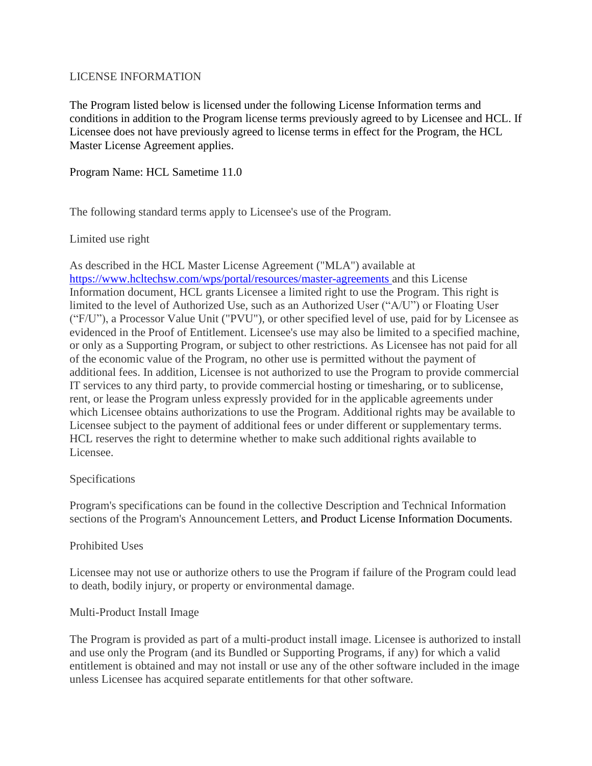### LICENSE INFORMATION

The Program listed below is licensed under the following License Information terms and conditions in addition to the Program license terms previously agreed to by Licensee and HCL. If Licensee does not have previously agreed to license terms in effect for the Program, the HCL Master License Agreement applies.

## Program Name: HCL Sametime 11.0

The following standard terms apply to Licensee's use of the Program.

## Limited use right

As described in the HCL Master License Agreement ("MLA") available at <https://www.hcltechsw.com/wps/portal/resources/master-agreements> and this License Information document, HCL grants Licensee a limited right to use the Program. This right is limited to the level of Authorized Use, such as an Authorized User ("A/U") or Floating User ("F/U"), a Processor Value Unit ("PVU"), or other specified level of use, paid for by Licensee as evidenced in the Proof of Entitlement. Licensee's use may also be limited to a specified machine, or only as a Supporting Program, or subject to other restrictions. As Licensee has not paid for all of the economic value of the Program, no other use is permitted without the payment of additional fees. In addition, Licensee is not authorized to use the Program to provide commercial IT services to any third party, to provide commercial hosting or timesharing, or to sublicense, rent, or lease the Program unless expressly provided for in the applicable agreements under which Licensee obtains authorizations to use the Program. Additional rights may be available to Licensee subject to the payment of additional fees or under different or supplementary terms. HCL reserves the right to determine whether to make such additional rights available to Licensee.

### Specifications

Program's specifications can be found in the collective Description and Technical Information sections of the Program's Announcement Letters, and Product License Information Documents.

### Prohibited Uses

Licensee may not use or authorize others to use the Program if failure of the Program could lead to death, bodily injury, or property or environmental damage.

### Multi-Product Install Image

The Program is provided as part of a multi-product install image. Licensee is authorized to install and use only the Program (and its Bundled or Supporting Programs, if any) for which a valid entitlement is obtained and may not install or use any of the other software included in the image unless Licensee has acquired separate entitlements for that other software.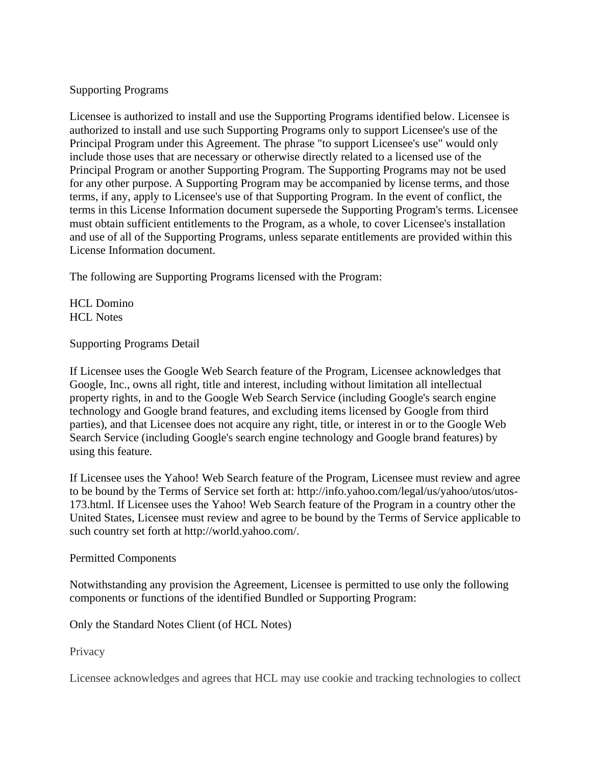# Supporting Programs

Licensee is authorized to install and use the Supporting Programs identified below. Licensee is authorized to install and use such Supporting Programs only to support Licensee's use of the Principal Program under this Agreement. The phrase "to support Licensee's use" would only include those uses that are necessary or otherwise directly related to a licensed use of the Principal Program or another Supporting Program. The Supporting Programs may not be used for any other purpose. A Supporting Program may be accompanied by license terms, and those terms, if any, apply to Licensee's use of that Supporting Program. In the event of conflict, the terms in this License Information document supersede the Supporting Program's terms. Licensee must obtain sufficient entitlements to the Program, as a whole, to cover Licensee's installation and use of all of the Supporting Programs, unless separate entitlements are provided within this License Information document.

The following are Supporting Programs licensed with the Program:

HCL Domino HCL Notes

Supporting Programs Detail

If Licensee uses the Google Web Search feature of the Program, Licensee acknowledges that Google, Inc., owns all right, title and interest, including without limitation all intellectual property rights, in and to the Google Web Search Service (including Google's search engine technology and Google brand features, and excluding items licensed by Google from third parties), and that Licensee does not acquire any right, title, or interest in or to the Google Web Search Service (including Google's search engine technology and Google brand features) by using this feature.

If Licensee uses the Yahoo! Web Search feature of the Program, Licensee must review and agree to be bound by the Terms of Service set forth at: http://info.yahoo.com/legal/us/yahoo/utos/utos-173.html. If Licensee uses the Yahoo! Web Search feature of the Program in a country other the United States, Licensee must review and agree to be bound by the Terms of Service applicable to such country set forth at http://world.yahoo.com/.

### Permitted Components

Notwithstanding any provision the Agreement, Licensee is permitted to use only the following components or functions of the identified Bundled or Supporting Program:

Only the Standard Notes Client (of HCL Notes)

**Privacy** 

Licensee acknowledges and agrees that HCL may use cookie and tracking technologies to collect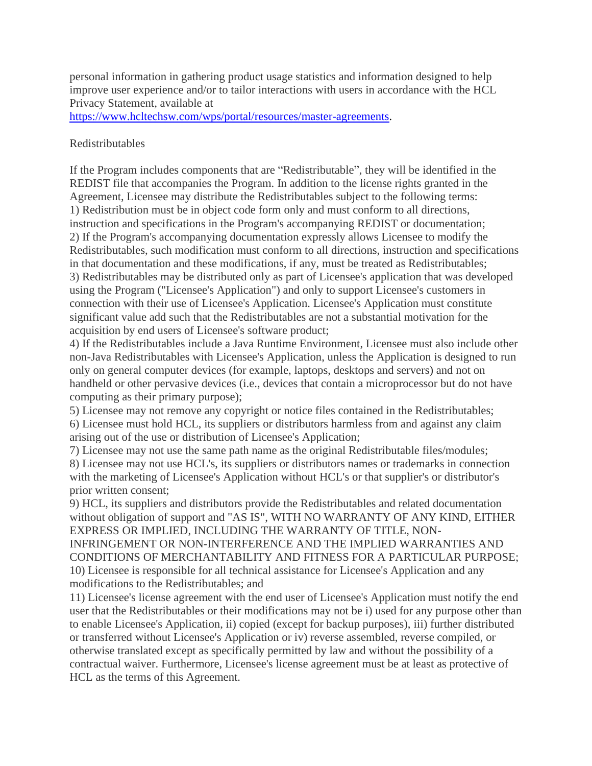personal information in gathering product usage statistics and information designed to help improve user experience and/or to tailor interactions with users in accordance with the HCL Privacy Statement, available at

[https://www.hcltechsw.com/wps/portal/resources/master-agreements.](https://www.hcltechsw.com/wps/portal/resources/master-agreements)

### Redistributables

If the Program includes components that are "Redistributable", they will be identified in the REDIST file that accompanies the Program. In addition to the license rights granted in the Agreement, Licensee may distribute the Redistributables subject to the following terms: 1) Redistribution must be in object code form only and must conform to all directions, instruction and specifications in the Program's accompanying REDIST or documentation; 2) If the Program's accompanying documentation expressly allows Licensee to modify the Redistributables, such modification must conform to all directions, instruction and specifications in that documentation and these modifications, if any, must be treated as Redistributables; 3) Redistributables may be distributed only as part of Licensee's application that was developed using the Program ("Licensee's Application") and only to support Licensee's customers in connection with their use of Licensee's Application. Licensee's Application must constitute significant value add such that the Redistributables are not a substantial motivation for the acquisition by end users of Licensee's software product;

4) If the Redistributables include a Java Runtime Environment, Licensee must also include other non-Java Redistributables with Licensee's Application, unless the Application is designed to run only on general computer devices (for example, laptops, desktops and servers) and not on handheld or other pervasive devices (i.e., devices that contain a microprocessor but do not have computing as their primary purpose);

5) Licensee may not remove any copyright or notice files contained in the Redistributables; 6) Licensee must hold HCL, its suppliers or distributors harmless from and against any claim arising out of the use or distribution of Licensee's Application;

7) Licensee may not use the same path name as the original Redistributable files/modules; 8) Licensee may not use HCL's, its suppliers or distributors names or trademarks in connection with the marketing of Licensee's Application without HCL's or that supplier's or distributor's prior written consent;

9) HCL, its suppliers and distributors provide the Redistributables and related documentation without obligation of support and "AS IS", WITH NO WARRANTY OF ANY KIND, EITHER EXPRESS OR IMPLIED, INCLUDING THE WARRANTY OF TITLE, NON-

INFRINGEMENT OR NON-INTERFERENCE AND THE IMPLIED WARRANTIES AND CONDITIONS OF MERCHANTABILITY AND FITNESS FOR A PARTICULAR PURPOSE; 10) Licensee is responsible for all technical assistance for Licensee's Application and any modifications to the Redistributables; and

11) Licensee's license agreement with the end user of Licensee's Application must notify the end user that the Redistributables or their modifications may not be i) used for any purpose other than to enable Licensee's Application, ii) copied (except for backup purposes), iii) further distributed or transferred without Licensee's Application or iv) reverse assembled, reverse compiled, or otherwise translated except as specifically permitted by law and without the possibility of a contractual waiver. Furthermore, Licensee's license agreement must be at least as protective of HCL as the terms of this Agreement.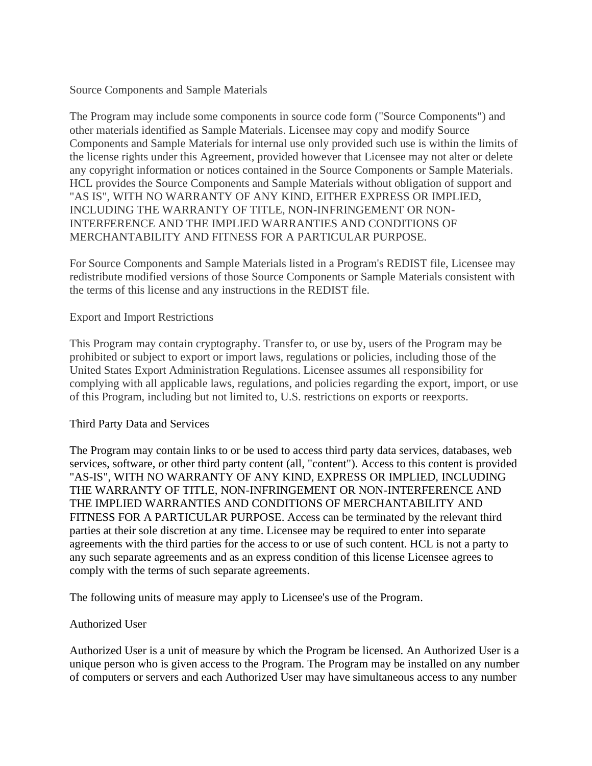### Source Components and Sample Materials

The Program may include some components in source code form ("Source Components") and other materials identified as Sample Materials. Licensee may copy and modify Source Components and Sample Materials for internal use only provided such use is within the limits of the license rights under this Agreement, provided however that Licensee may not alter or delete any copyright information or notices contained in the Source Components or Sample Materials. HCL provides the Source Components and Sample Materials without obligation of support and "AS IS", WITH NO WARRANTY OF ANY KIND, EITHER EXPRESS OR IMPLIED, INCLUDING THE WARRANTY OF TITLE, NON-INFRINGEMENT OR NON-INTERFERENCE AND THE IMPLIED WARRANTIES AND CONDITIONS OF MERCHANTABILITY AND FITNESS FOR A PARTICULAR PURPOSE.

For Source Components and Sample Materials listed in a Program's REDIST file, Licensee may redistribute modified versions of those Source Components or Sample Materials consistent with the terms of this license and any instructions in the REDIST file.

#### Export and Import Restrictions

This Program may contain cryptography. Transfer to, or use by, users of the Program may be prohibited or subject to export or import laws, regulations or policies, including those of the United States Export Administration Regulations. Licensee assumes all responsibility for complying with all applicable laws, regulations, and policies regarding the export, import, or use of this Program, including but not limited to, U.S. restrictions on exports or reexports.

#### Third Party Data and Services

The Program may contain links to or be used to access third party data services, databases, web services, software, or other third party content (all, "content"). Access to this content is provided "AS-IS", WITH NO WARRANTY OF ANY KIND, EXPRESS OR IMPLIED, INCLUDING THE WARRANTY OF TITLE, NON-INFRINGEMENT OR NON-INTERFERENCE AND THE IMPLIED WARRANTIES AND CONDITIONS OF MERCHANTABILITY AND FITNESS FOR A PARTICULAR PURPOSE. Access can be terminated by the relevant third parties at their sole discretion at any time. Licensee may be required to enter into separate agreements with the third parties for the access to or use of such content. HCL is not a party to any such separate agreements and as an express condition of this license Licensee agrees to comply with the terms of such separate agreements.

The following units of measure may apply to Licensee's use of the Program.

#### Authorized User

Authorized User is a unit of measure by which the Program be licensed. An Authorized User is a unique person who is given access to the Program. The Program may be installed on any number of computers or servers and each Authorized User may have simultaneous access to any number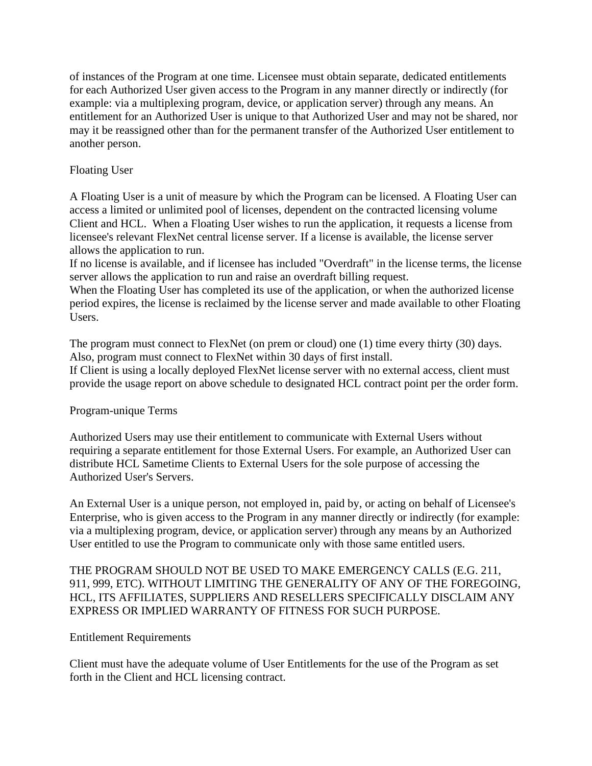of instances of the Program at one time. Licensee must obtain separate, dedicated entitlements for each Authorized User given access to the Program in any manner directly or indirectly (for example: via a multiplexing program, device, or application server) through any means. An entitlement for an Authorized User is unique to that Authorized User and may not be shared, nor may it be reassigned other than for the permanent transfer of the Authorized User entitlement to another person.

# Floating User

A Floating User is a unit of measure by which the Program can be licensed. A Floating User can access a limited or unlimited pool of licenses, dependent on the contracted licensing volume Client and HCL. When a Floating User wishes to run the application, it requests a license from licensee's relevant FlexNet central license server. If a license is available, the license server allows the application to run.

If no license is available, and if licensee has included "Overdraft" in the license terms, the license server allows the application to run and raise an overdraft billing request.

When the Floating User has completed its use of the application, or when the authorized license period expires, the license is reclaimed by the license server and made available to other Floating Users.

The program must connect to FlexNet (on prem or cloud) one (1) time every thirty (30) days. Also, program must connect to FlexNet within 30 days of first install.

If Client is using a locally deployed FlexNet license server with no external access, client must provide the usage report on above schedule to designated HCL contract point per the order form.

# Program-unique Terms

Authorized Users may use their entitlement to communicate with External Users without requiring a separate entitlement for those External Users. For example, an Authorized User can distribute HCL Sametime Clients to External Users for the sole purpose of accessing the Authorized User's Servers.

An External User is a unique person, not employed in, paid by, or acting on behalf of Licensee's Enterprise, who is given access to the Program in any manner directly or indirectly (for example: via a multiplexing program, device, or application server) through any means by an Authorized User entitled to use the Program to communicate only with those same entitled users.

# THE PROGRAM SHOULD NOT BE USED TO MAKE EMERGENCY CALLS (E.G. 211, 911, 999, ETC). WITHOUT LIMITING THE GENERALITY OF ANY OF THE FOREGOING, HCL, ITS AFFILIATES, SUPPLIERS AND RESELLERS SPECIFICALLY DISCLAIM ANY EXPRESS OR IMPLIED WARRANTY OF FITNESS FOR SUCH PURPOSE.

### Entitlement Requirements

Client must have the adequate volume of User Entitlements for the use of the Program as set forth in the Client and HCL licensing contract.